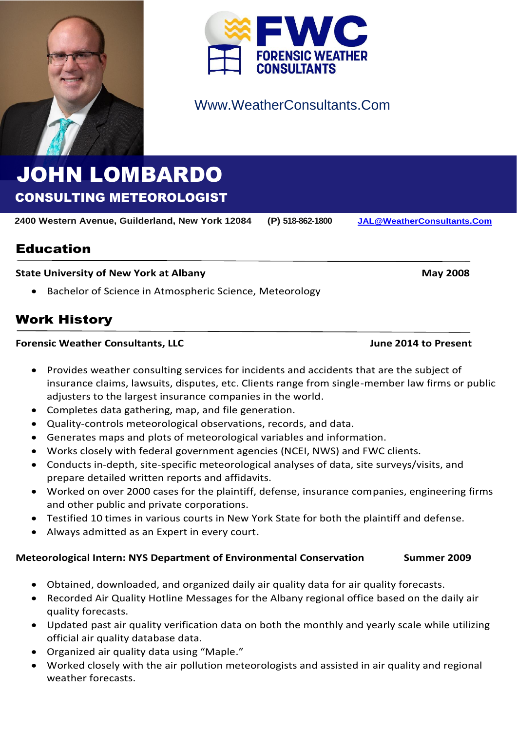



# Www.WeatherConsultants.Com

# JOHN LOMBARDO CONSULTING METEOROLOGIST

**2400 Western Avenue, Guilderland, New York 12084 (P) 518-862-1800 [JAL@WeatherConsultants.Com](mailto:JAL@WeatherConsultants.Com)**

Education

### **State University of New York at Albany <b>May 2008 May 2008**

• Bachelor of Science in Atmospheric Science, Meteorology

# Work History

#### **Forensic Weather Consultants, LLC June 2014 to Present**

- Provides weather consulting services for incidents and accidents that are the subject of insurance claims, lawsuits, disputes, etc. Clients range from single-member law firms or public adjusters to the largest insurance companies in the world.
- Completes data gathering, map, and file generation.
- Quality-controls meteorological observations, records, and data.
- Generates maps and plots of meteorological variables and information.
- Works closely with federal government agencies (NCEI, NWS) and FWC clients.
- Conducts in-depth, site-specific meteorological analyses of data, site surveys/visits, and prepare detailed written reports and affidavits.
- Worked on over 2000 cases for the plaintiff, defense, insurance companies, engineering firms and other public and private corporations.
- Testified 10 times in various courts in New York State for both the plaintiff and defense.
- Always admitted as an Expert in every court.

### **Meteorological Intern: NYS Department of Environmental Conservation Summer 2009**

- Obtained, downloaded, and organized daily air quality data for air quality forecasts.
- Recorded Air Quality Hotline Messages for the Albany regional office based on the daily air quality forecasts.
- Updated past air quality verification data on both the monthly and yearly scale while utilizing official air quality database data.
- Organized air quality data using "Maple."
- Worked closely with the air pollution meteorologists and assisted in air quality and regional weather forecasts.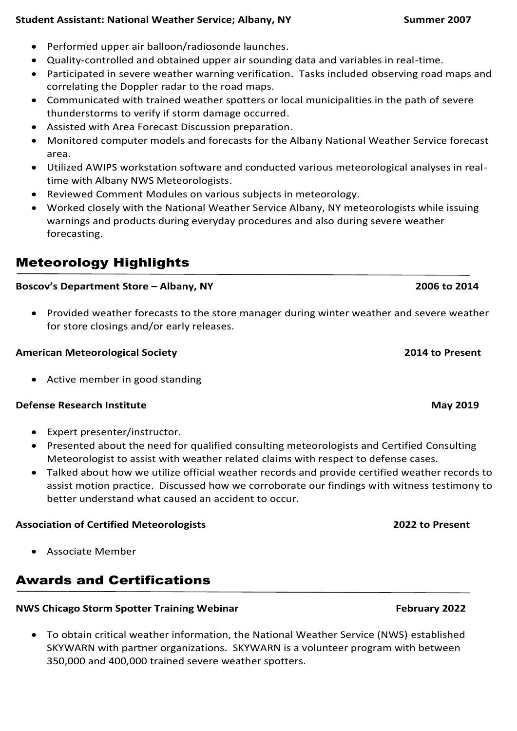### **Student Assistant: National Weather Service; Albany, NY Summer 2007**

- Performed upper air balloon/radiosonde launches.
- Quality-controlled and obtained upper air sounding data and variables in real-time.
- Participated in severe weather warning verification. Tasks included observing road maps and correlating the Doppler radar to the road maps.
- Communicated with trained weather spotters or local municipalities in the path of severe thunderstorms to verify if storm damage occurred.
- Assisted with Area Forecast Discussion preparation.
- Monitored computer models and forecasts for the Albany National Weather Service forecast area.
- Utilized AWIPS workstation software and conducted various meteorological analyses in realtime with Albany NWS Meteorologists.
- Reviewed Comment Modules on various subjects in meteorology.
- Worked closely with the National Weather Service Albany, NY meteorologists while issuing warnings and products during everyday procedures and also during severe weather forecasting.

# Meteorology Highlights

### **Boscov's Department Store – Albany, NY 2006 to 2014**

• Provided weather forecasts to the store manager during winter weather and severe weather for store closings and/or early releases.

### **American Meteorological Society 2014 to Present**

• Active member in good standing

#### **Defense Research Institute May 2019**

- Expert presenter/instructor.
- Presented about the need for qualified consulting meteorologists and Certified Consulting Meteorologist to assist with weather related claims with respect to defense cases.
- Talked about how we utilize official weather records and provide certified weather records to assist motion practice. Discussed how we corroborate our findings with witness testimony to better understand what caused an accident to occur.

### **Association of Certified Meteorologists 2022 to Present**

• Associate Member

## Awards and Certifications

### **NWS Chicago Storm Spotter Training Webinar February 2022**

• To obtain critical weather information, the National Weather Service (NWS) established SKYWARN with partner organizations. SKYWARN is a volunteer program with between 350,000 and 400,000 trained severe weather spotters.